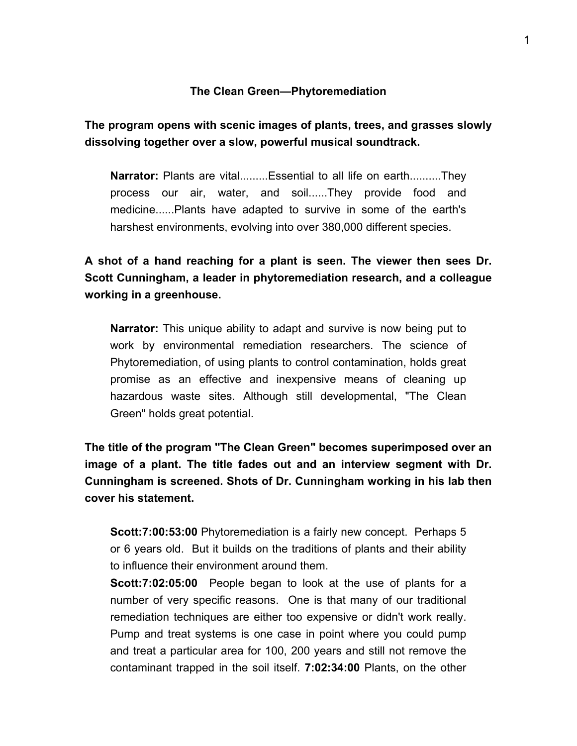#### **The Clean Green-Phytoremediation**

## **The program opens with scenic images of plants, trees, and grasses slowly dissolving together over a slow, powerful musical soundtrack.**

**Narrator:** Plants are vital.........Essential to all life on earth..........They process our air, water, and soil......They provide food and medicine......Plants have adapted to survive in some of the earth's harshest environments, evolving into over 380,000 different species.

**A shot of a hand reaching for a plant is seen. The viewer then sees Dr. Scott Cunningham, a leader in phytoremediation research, and a colleague working in a greenhouse.** 

**Narrator:** This unique ability to adapt and survive is now being put to work by environmental remediation researchers. The science of Phytoremediation, of using plants to control contamination, holds great promise as an effective and inexpensive means of cleaning up hazardous waste sites. Although still developmental, "The Clean Green" holds great potential.

**The title of the program "The Clean Green" becomes superimposed over an image of a plant. The title fades out and an interview segment with Dr. Cunningham is screened. Shots of Dr. Cunningham working in his lab then cover his statement.** 

**Scott:7:00:53:00** Phytoremediation is a fairly new concept. Perhaps 5 or 6 years old. But it builds on the traditions of plants and their ability to influence their environment around them.

**Scott:7:02:05:00** People began to look at the use of plants for a number of very specific reasons. One is that many of our traditional remediation techniques are either too expensive or didn't work really. Pump and treat systems is one case in point where you could pump and treat a particular area for 100, 200 years and still not remove the contaminant trapped in the soil itself. **7:02:34:00** Plants, on the other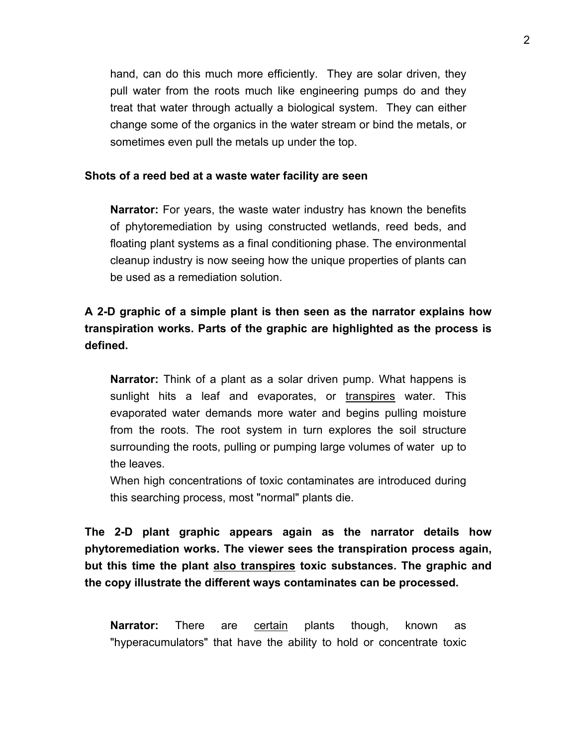hand, can do this much more efficiently. They are solar driven, they pull water from the roots much like engineering pumps do and they treat that water through actually a biological system. They can either change some of the organics in the water stream or bind the metals, or sometimes even pull the metals up under the top.

#### **Shots of a reed bed at a waste water facility are seen**

**Narrator:** For years, the waste water industry has known the benefits of phytoremediation by using constructed wetlands, reed beds, and floating plant systems as a final conditioning phase. The environmental cleanup industry is now seeing how the unique properties of plants can be used as a remediation solution.

# **A 2-D graphic of a simple plant is then seen as the narrator explains how transpiration works. Parts of the graphic are highlighted as the process is defined.**

**Narrator:** Think of a plant as a solar driven pump. What happens is sunlight hits a leaf and evaporates, or transpires water. This evaporated water demands more water and begins pulling moisture from the roots. The root system in turn explores the soil structure surrounding the roots, pulling or pumping large volumes of water up to the leaves.

When high concentrations of toxic contaminates are introduced during this searching process, most "normal" plants die.

**The 2-D plant graphic appears again as the narrator details how phytoremediation works. The viewer sees the transpiration process again, but this time the plant also transpires toxic substances. The graphic and the copy illustrate the different ways contaminates can be processed.** 

**Narrator:** There are certain plants though, known as "hyperacumulators" that have the ability to hold or concentrate toxic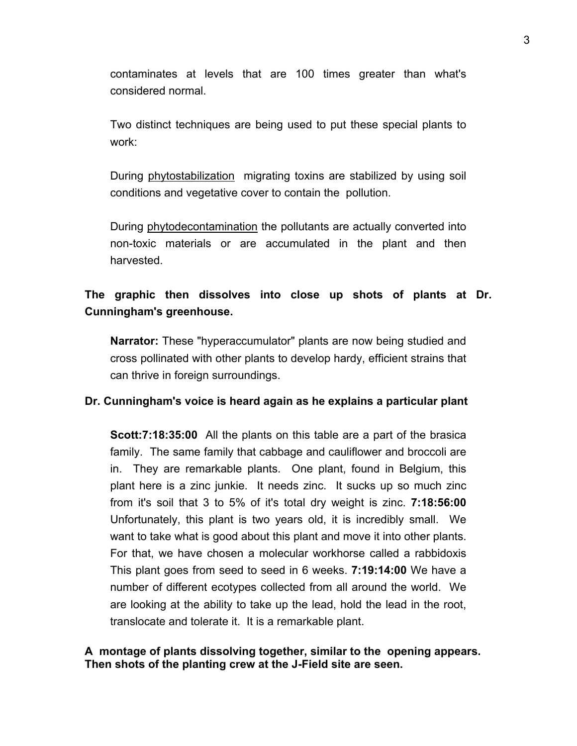contaminates at levels that are 100 times greater than what's considered normal.

Two distinct techniques are being used to put these special plants to work:

During phytostabilization migrating toxins are stabilized by using soil conditions and vegetative cover to contain the pollution.

During phytodecontamination the pollutants are actually converted into non-toxic materials or are accumulated in the plant and then harvested.

## **The graphic then dissolves into close up shots of plants at Dr. Cunningham's greenhouse.**

**Narrator:** These "hyperaccumulator" plants are now being studied and cross pollinated with other plants to develop hardy, efficient strains that can thrive in foreign surroundings.

#### **Dr. Cunningham's voice is heard again as he explains a particular plant**

**Scott:7:18:35:00** All the plants on this table are a part of the brasica family. The same family that cabbage and cauliflower and broccoli are in. They are remarkable plants. One plant, found in Belgium, this plant here is a zinc junkie. It needs zinc. It sucks up so much zinc from it's soil that 3 to 5% of it's total dry weight is zinc. **7:18:56:00** Unfortunately, this plant is two years old, it is incredibly small. We want to take what is good about this plant and move it into other plants. For that, we have chosen a molecular workhorse called a rabbidoxis This plant goes from seed to seed in 6 weeks. **7:19:14:00** We have a number of different ecotypes collected from all around the world. We are looking at the ability to take up the lead, hold the lead in the root, translocate and tolerate it. It is a remarkable plant.

#### **A montage of plants dissolving together, similar to the opening appears. Then shots of the planting crew at the J-Field site are seen.**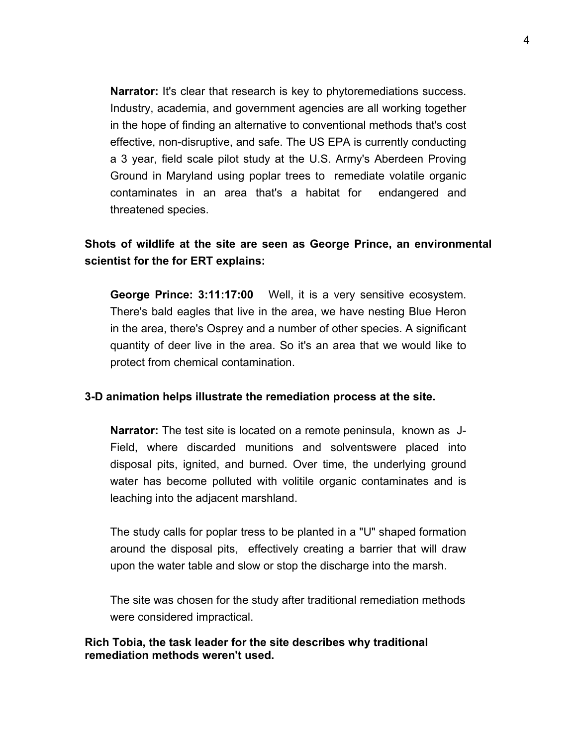**Narrator:** It's clear that research is key to phytoremediations success. Industry, academia, and government agencies are all working together in the hope of finding an alternative to conventional methods that's cost effective, non-disruptive, and safe. The US EPA is currently conducting a 3 year, field scale pilot study at the U.S. Army's Aberdeen Proving Ground in Maryland using poplar trees to remediate volatile organic contaminates in an area that's a habitat for endangered and threatened species.

## **Shots of wildlife at the site are seen as George Prince, an environmental scientist for the for ERT explains:**

**George Prince: 3:11:17:00** Well, it is a very sensitive ecosystem. There's bald eagles that live in the area, we have nesting Blue Heron in the area, there's Osprey and a number of other species. A significant quantity of deer live in the area. So it's an area that we would like to protect from chemical contamination.

#### **3-D animation helps illustrate the remediation process at the site.**

**Narrator:** The test site is located on a remote peninsula, known as J-Field, where discarded munitions and solventswere placed into disposal pits, ignited, and burned. Over time, the underlying ground water has become polluted with volitile organic contaminates and is leaching into the adjacent marshland.

The study calls for poplar tress to be planted in a "U" shaped formation around the disposal pits, effectively creating a barrier that will draw upon the water table and slow or stop the discharge into the marsh.

The site was chosen for the study after traditional remediation methods were considered impractical.

#### **Rich Tobia, the task leader for the site describes why traditional remediation methods weren't used.**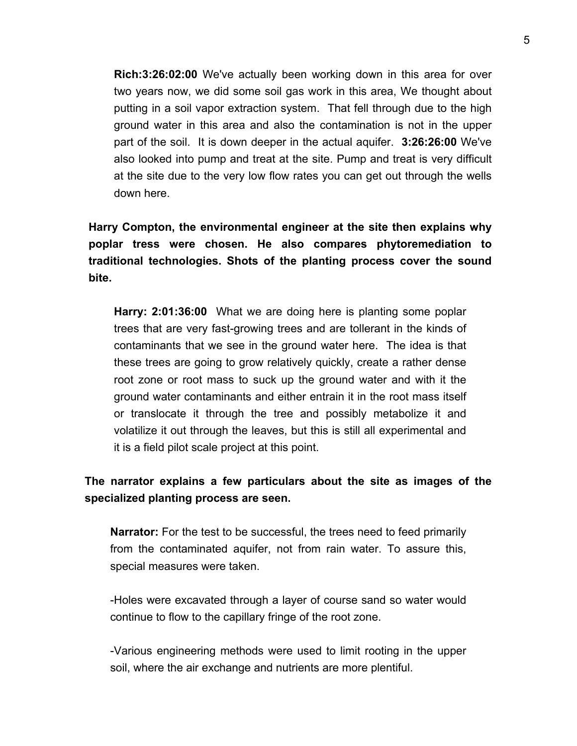**Rich:3:26:02:00** We've actually been working down in this area for over two years now, we did some soil gas work in this area, We thought about putting in a soil vapor extraction system. That fell through due to the high ground water in this area and also the contamination is not in the upper part of the soil. It is down deeper in the actual aquifer. **3:26:26:00** We've also looked into pump and treat at the site. Pump and treat is very difficult at the site due to the very low flow rates you can get out through the wells down here.

**Harry Compton, the environmental engineer at the site then explains why poplar tress were chosen. He also compares phytoremediation to traditional technologies. Shots of the planting process cover the sound bite.** 

**Harry: 2:01:36:00** What we are doing here is planting some poplar trees that are very fast-growing trees and are tollerant in the kinds of contaminants that we see in the ground water here. The idea is that these trees are going to grow relatively quickly, create a rather dense root zone or root mass to suck up the ground water and with it the ground water contaminants and either entrain it in the root mass itself or translocate it through the tree and possibly metabolize it and volatilize it out through the leaves, but this is still all experimental and it is a field pilot scale project at this point.

## **The narrator explains a few particulars about the site as images of the specialized planting process are seen.**

**Narrator:** For the test to be successful, the trees need to feed primarily from the contaminated aquifer, not from rain water. To assure this, special measures were taken.

-Holes were excavated through a layer of course sand so water would continue to flow to the capillary fringe of the root zone.

-Various engineering methods were used to limit rooting in the upper soil, where the air exchange and nutrients are more plentiful.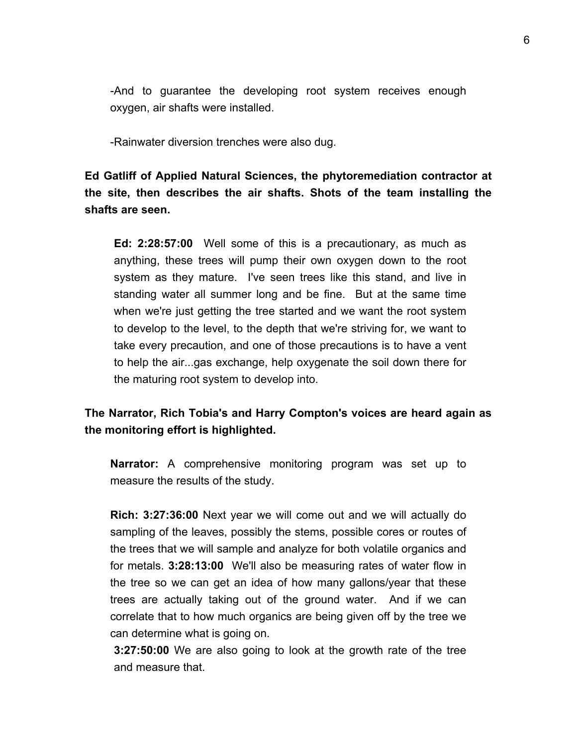-And to guarantee the developing root system receives enough oxygen, air shafts were installed.

-Rainwater diversion trenches were also dug.

**Ed Gatliff of Applied Natural Sciences, the phytoremediation contractor at the site, then describes the air shafts. Shots of the team installing the shafts are seen.** 

**Ed: 2:28:57:00** Well some of this is a precautionary, as much as anything, these trees will pump their own oxygen down to the root system as they mature. I've seen trees like this stand, and live in standing water all summer long and be fine. But at the same time when we're just getting the tree started and we want the root system to develop to the level, to the depth that we're striving for, we want to take every precaution, and one of those precautions is to have a vent to help the air...gas exchange, help oxygenate the soil down there for the maturing root system to develop into.

### **The Narrator, Rich Tobia's and Harry Compton's voices are heard again as the monitoring effort is highlighted.**

**Narrator:** A comprehensive monitoring program was set up to measure the results of the study.

**Rich: 3:27:36:00** Next year we will come out and we will actually do sampling of the leaves, possibly the stems, possible cores or routes of the trees that we will sample and analyze for both volatile organics and for metals. **3:28:13:00** We'll also be measuring rates of water flow in the tree so we can get an idea of how many gallons/year that these trees are actually taking out of the ground water. And if we can correlate that to how much organics are being given off by the tree we can determine what is going on.

**3:27:50:00** We are also going to look at the growth rate of the tree and measure that.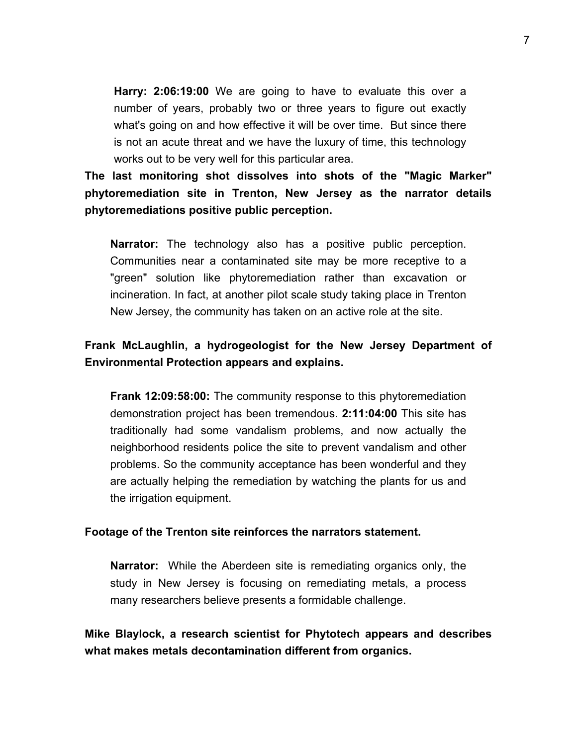**Harry: 2:06:19:00** We are going to have to evaluate this over a number of years, probably two or three years to figure out exactly what's going on and how effective it will be over time. But since there is not an acute threat and we have the luxury of time, this technology works out to be very well for this particular area.

**The last monitoring shot dissolves into shots of the "Magic Marker" phytoremediation site in Trenton, New Jersey as the narrator details phytoremediations positive public perception.** 

**Narrator:** The technology also has a positive public perception. Communities near a contaminated site may be more receptive to a "green" solution like phytoremediation rather than excavation or incineration. In fact, at another pilot scale study taking place in Trenton New Jersey, the community has taken on an active role at the site.

## **Frank McLaughlin, a hydrogeologist for the New Jersey Department of Environmental Protection appears and explains.**

**Frank 12:09:58:00:** The community response to this phytoremediation demonstration project has been tremendous. **2:11:04:00** This site has traditionally had some vandalism problems, and now actually the neighborhood residents police the site to prevent vandalism and other problems. So the community acceptance has been wonderful and they are actually helping the remediation by watching the plants for us and the irrigation equipment.

#### **Footage of the Trenton site reinforces the narrators statement.**

**Narrator:** While the Aberdeen site is remediating organics only, the study in New Jersey is focusing on remediating metals, a process many researchers believe presents a formidable challenge.

**Mike Blaylock, a research scientist for Phytotech appears and describes what makes metals decontamination different from organics.**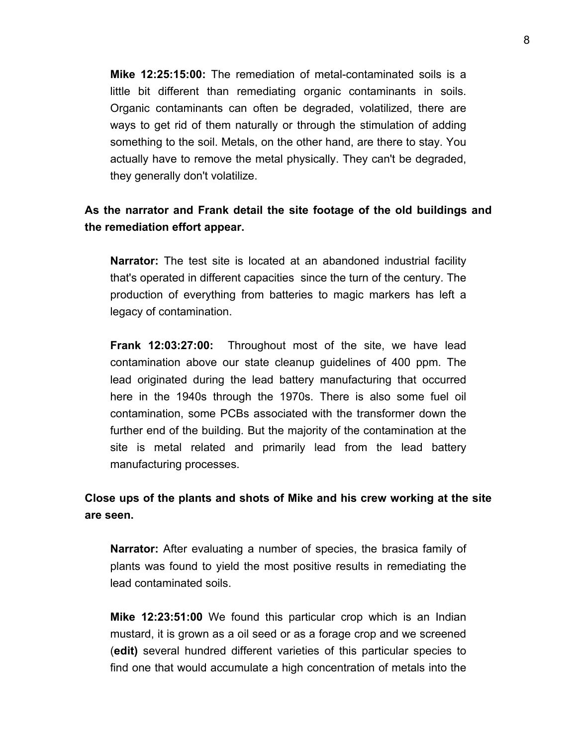**Mike 12:25:15:00:** The remediation of metal-contaminated soils is a little bit different than remediating organic contaminants in soils. Organic contaminants can often be degraded, volatilized, there are ways to get rid of them naturally or through the stimulation of adding something to the soil. Metals, on the other hand, are there to stay. You actually have to remove the metal physically. They can't be degraded, they generally don't volatilize.

### **As the narrator and Frank detail the site footage of the old buildings and the remediation effort appear.**

**Narrator:** The test site is located at an abandoned industrial facility that's operated in different capacities since the turn of the century. The production of everything from batteries to magic markers has left a legacy of contamination.

**Frank 12:03:27:00:** Throughout most of the site, we have lead contamination above our state cleanup guidelines of 400 ppm. The lead originated during the lead battery manufacturing that occurred here in the 1940s through the 1970s. There is also some fuel oil contamination, some PCBs associated with the transformer down the further end of the building. But the majority of the contamination at the site is metal related and primarily lead from the lead battery manufacturing processes.

### **Close ups of the plants and shots of Mike and his crew working at the site are seen.**

**Narrator:** After evaluating a number of species, the brasica family of plants was found to yield the most positive results in remediating the lead contaminated soils.

**Mike 12:23:51:00** We found this particular crop which is an Indian mustard, it is grown as a oil seed or as a forage crop and we screened (**edit)** several hundred different varieties of this particular species to find one that would accumulate a high concentration of metals into the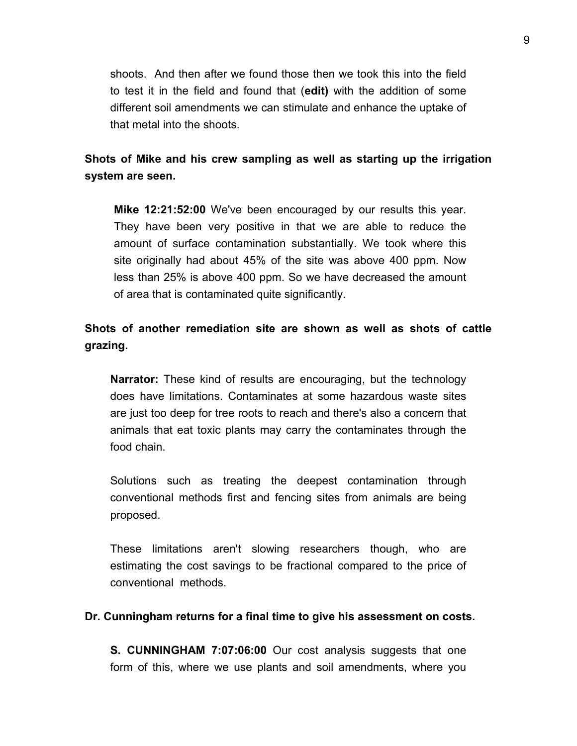shoots. And then after we found those then we took this into the field to test it in the field and found that (**edit)** with the addition of some different soil amendments we can stimulate and enhance the uptake of that metal into the shoots.

### **Shots of Mike and his crew sampling as well as starting up the irrigation system are seen.**

**Mike 12:21:52:00** We've been encouraged by our results this year. They have been very positive in that we are able to reduce the amount of surface contamination substantially. We took where this site originally had about 45% of the site was above 400 ppm. Now less than 25% is above 400 ppm. So we have decreased the amount of area that is contaminated quite significantly.

# **Shots of another remediation site are shown as well as shots of cattle grazing.**

**Narrator:** These kind of results are encouraging, but the technology does have limitations. Contaminates at some hazardous waste sites are just too deep for tree roots to reach and there's also a concern that animals that eat toxic plants may carry the contaminates through the food chain.

Solutions such as treating the deepest contamination through conventional methods first and fencing sites from animals are being proposed.

These limitations aren't slowing researchers though, who are estimating the cost savings to be fractional compared to the price of conventional methods.

#### **Dr. Cunningham returns for a final time to give his assessment on costs.**

**S. CUNNINGHAM 7:07:06:00** Our cost analysis suggests that one form of this, where we use plants and soil amendments, where you